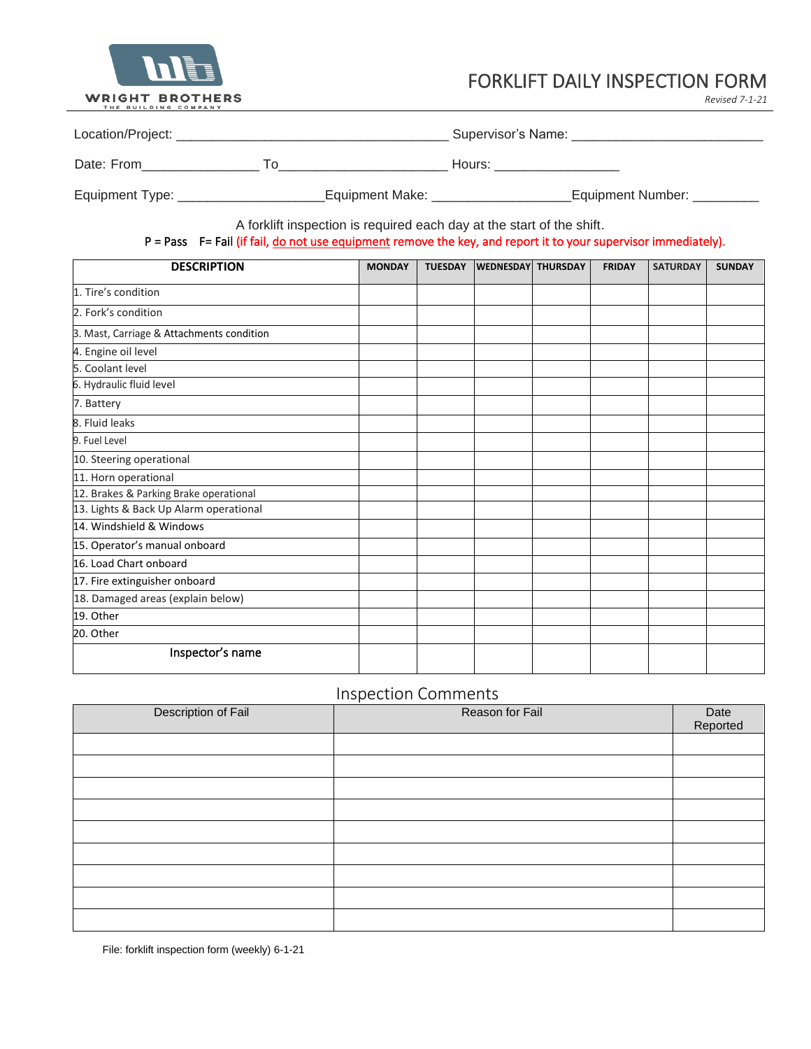

 $\overline{a}$ 

## FORKLIFT DAILY INSPECTION FORM

*Revised 7-1-21*

| Location/Project: |                 | Supervisor's Name: |  |  |  |  |
|-------------------|-----------------|--------------------|--|--|--|--|
| Date: From<br>ח ו |                 | Hours:             |  |  |  |  |
| Equipment Type:   | Equipment Make: | Equipment Number:  |  |  |  |  |

A forklift inspection is required each day at the start of the shift.

### P = Pass F = Fail (if fail, do not use equipment remove the key, and report it to your supervisor immediately).

| <b>DESCRIPTION</b>                        | <b>MONDAY</b> | <b>TUESDAY</b> | <b>WEDNESDAY THURSDAY</b> | <b>FRIDAY</b> | <b>SATURDAY</b> | <b>SUNDAY</b> |
|-------------------------------------------|---------------|----------------|---------------------------|---------------|-----------------|---------------|
| 1. Tire's condition                       |               |                |                           |               |                 |               |
| 2. Fork's condition                       |               |                |                           |               |                 |               |
| 3. Mast, Carriage & Attachments condition |               |                |                           |               |                 |               |
| 4. Engine oil level                       |               |                |                           |               |                 |               |
| 5. Coolant level                          |               |                |                           |               |                 |               |
| 6. Hydraulic fluid level                  |               |                |                           |               |                 |               |
| 7. Battery                                |               |                |                           |               |                 |               |
| 8. Fluid leaks                            |               |                |                           |               |                 |               |
| 9. Fuel Level                             |               |                |                           |               |                 |               |
| 10. Steering operational                  |               |                |                           |               |                 |               |
| 11. Horn operational                      |               |                |                           |               |                 |               |
| 12. Brakes & Parking Brake operational    |               |                |                           |               |                 |               |
| 13. Lights & Back Up Alarm operational    |               |                |                           |               |                 |               |
| 14. Windshield & Windows                  |               |                |                           |               |                 |               |
| 15. Operator's manual onboard             |               |                |                           |               |                 |               |
| 16. Load Chart onboard                    |               |                |                           |               |                 |               |
| 17. Fire extinguisher onboard             |               |                |                           |               |                 |               |
| 18. Damaged areas (explain below)         |               |                |                           |               |                 |               |
| 19. Other                                 |               |                |                           |               |                 |               |
| 20. Other                                 |               |                |                           |               |                 |               |
| Inspector's name                          |               |                |                           |               |                 |               |

## Inspection Comments

| Description of Fail | . .<br>Reason for Fail | Date<br>Reported |
|---------------------|------------------------|------------------|
|                     |                        |                  |
|                     |                        |                  |
|                     |                        |                  |
|                     |                        |                  |
|                     |                        |                  |
|                     |                        |                  |
|                     |                        |                  |
|                     |                        |                  |
|                     |                        |                  |

File: forklift inspection form (weekly) 6-1-21